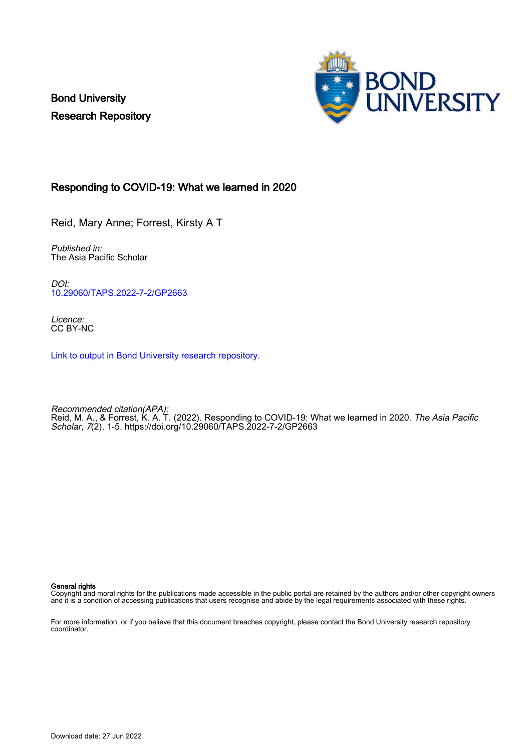Bond University Research Repository



## Responding to COVID-19: What we learned in 2020

Reid, Mary Anne; Forrest, Kirsty A T

Published in: The Asia Pacific Scholar

DOI: [10.29060/TAPS.2022-7-2/GP2663](https://doi.org/10.29060/TAPS.2022-7-2/GP2663)

Licence: CC BY-NC

[Link to output in Bond University research repository.](https://research.bond.edu.au/en/publications/2d3ec42b-5df8-427e-b6b4-fa68a549b76a)

Recommended citation(APA): Reid, M. A., & Forrest, K. A. T. (2022). Responding to COVID-19: What we learned in 2020. *The Asia Pacific* Scholar, 7(2), 1-5. <https://doi.org/10.29060/TAPS.2022-7-2/GP2663>

General rights

Copyright and moral rights for the publications made accessible in the public portal are retained by the authors and/or other copyright owners and it is a condition of accessing publications that users recognise and abide by the legal requirements associated with these rights.

For more information, or if you believe that this document breaches copyright, please contact the Bond University research repository coordinator.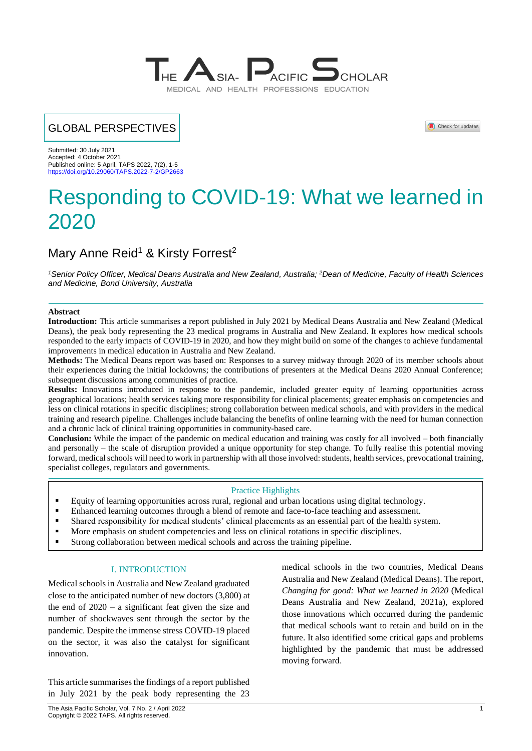

# GLOBAL PERSPECTIVES

Check for updates

Submitted: 30 July 2021 Accepted: 4 October 2021 Published online: 5 April, TAPS 2022, 7(2), 1-5 https://doi.org/10.29060/TAPS

# Responding to COVID-19: What we learned in 2020

# Mary Anne Reid<sup>1</sup> & Kirsty Forrest<sup>2</sup>

*<sup>1</sup>Senior Policy Officer, Medical Deans Australia and New Zealand, Australia; <sup>2</sup>Dean of Medicine, Faculty of Health Sciences and Medicine, Bond University, Australia*

#### **Abstract**

**Introduction:** This article summarises a report published in July 2021 by Medical Deans Australia and New Zealand (Medical Deans), the peak body representing the 23 medical programs in Australia and New Zealand. It explores how medical schools responded to the early impacts of COVID-19 in 2020, and how they might build on some of the changes to achieve fundamental improvements in medical education in Australia and New Zealand.

**Methods:** The Medical Deans report was based on: Responses to a survey midway through 2020 of its member schools about their experiences during the initial lockdowns; the contributions of presenters at the Medical Deans 2020 Annual Conference; subsequent discussions among communities of practice.

**Results:** Innovations introduced in response to the pandemic, included greater equity of learning opportunities across geographical locations; health services taking more responsibility for clinical placements; greater emphasis on competencies and less on clinical rotations in specific disciplines; strong collaboration between medical schools, and with providers in the medical training and research pipeline. Challenges include balancing the benefits of online learning with the need for human connection and a chronic lack of clinical training opportunities in community-based care.

**Conclusion:** While the impact of the pandemic on medical education and training was costly for all involved – both financially and personally – the scale of disruption provided a unique opportunity for step change. To fully realise this potential moving forward, medical schools will need to work in partnership with all those involved: students, health services, prevocational training, specialist colleges, regulators and governments.

#### Practice Highlights

- Equity of learning opportunities across rural, regional and urban locations using digital technology.
- **Enhanced learning outcomes through a blend of remote and face-to-face teaching and assessment.**
- Shared responsibility for medical students' clinical placements as an essential part of the health system.
- More emphasis on student competencies and less on clinical rotations in specific disciplines.
- Strong collaboration between medical schools and across the training pipeline.

#### I. INTRODUCTION

Medical schools in Australia and New Zealand graduated close to the anticipated number of new doctors (3,800) at the end of 2020 – a significant feat given the size and number of shockwaves sent through the sector by the pandemic. Despite the immense stress COVID-19 placed on the sector, it was also the catalyst for significant innovation.

This article summarises the findings of a report published in July 2021 by the peak body representing the 23

medical schools in the two countries, Medical Deans Australia and New Zealand (Medical Deans). The report, *Changing for good: What we learned in 2020* (Medical Deans Australia and New Zealand, 2021a), explored those innovations which occurred during the pandemic that medical schools want to retain and build on in the future. It also identified some critical gaps and problems highlighted by the pandemic that must be addressed moving forward.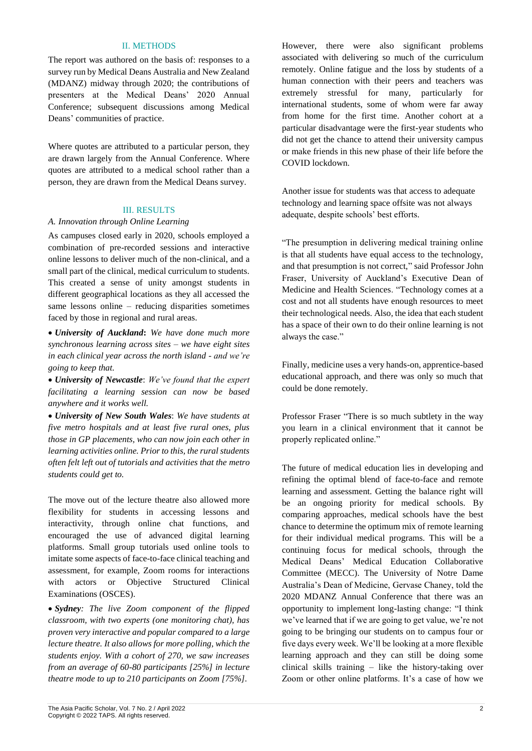#### II. METHODS

The report was authored on the basis of: responses to a survey run by Medical Deans Australia and New Zealand (MDANZ) midway through 2020; the contributions of presenters at the Medical Deans' 2020 Annual Conference; subsequent discussions among Medical Deans' communities of practice.

Where quotes are attributed to a particular person, they are drawn largely from the Annual Conference. Where quotes are attributed to a medical school rather than a person, they are drawn from the Medical Deans survey.

### III. RESULTS

#### *A. Innovation through Online Learning*

As campuses closed early in 2020, schools employed a combination of pre-recorded sessions and interactive online lessons to deliver much of the non-clinical, and a small part of the clinical, medical curriculum to students. This created a sense of unity amongst students in different geographical locations as they all accessed the same lessons online – reducing disparities sometimes faced by those in regional and rural areas.

• *University of Auckland***:** *We have done much more synchronous learning across sites – we have eight sites in each clinical year across the north island - and we're going to keep that.*

• *University of Newcastle*: *We've found that the expert facilitating a learning session can now be based anywhere and it works well.*

• *University of New South Wales*: *We have students at five metro hospitals and at least five rural ones, plus those in GP placements, who can now join each other in learning activities online. Prior to this, the rural students often felt left out of tutorials and activities that the metro students could get to.*

The move out of the lecture theatre also allowed more flexibility for students in accessing lessons and interactivity, through online chat functions, and encouraged the use of advanced digital learning platforms. Small group tutorials used online tools to imitate some aspects of face-to-face clinical teaching and assessment, for example, Zoom rooms for interactions with actors or Objective Structured Clinical Examinations (OSCES).

• *Sydney: The live Zoom component of the flipped classroom, with two experts (one monitoring chat), has proven very interactive and popular compared to a large lecture theatre. It also allows for more polling, which the students enjoy. With a cohort of 270, we saw increases from an average of 60-80 participants [25%] in lecture theatre mode to up to 210 participants on Zoom [75%].*

However, there were also significant problems associated with delivering so much of the curriculum remotely. Online fatigue and the loss by students of a human connection with their peers and teachers was extremely stressful for many, particularly for international students, some of whom were far away from home for the first time. Another cohort at a particular disadvantage were the first-year students who did not get the chance to attend their university campus or make friends in this new phase of their life before the COVID lockdown.

Another issue for students was that access to adequate technology and learning space offsite was not always adequate, despite schools' best efforts.

"The presumption in delivering medical training online is that all students have equal access to the technology, and that presumption is not correct," said Professor John Fraser, University of Auckland's Executive Dean of Medicine and Health Sciences. "Technology comes at a cost and not all students have enough resources to meet their technological needs. Also, the idea that each student has a space of their own to do their online learning is not always the case."

Finally, medicine uses a very hands-on, apprentice-based educational approach, and there was only so much that could be done remotely.

Professor Fraser "There is so much subtlety in the way you learn in a clinical environment that it cannot be properly replicated online."

The future of medical education lies in developing and refining the optimal blend of face-to-face and remote learning and assessment. Getting the balance right will be an ongoing priority for medical schools. By comparing approaches, medical schools have the best chance to determine the optimum mix of remote learning for their individual medical programs. This will be a continuing focus for medical schools, through the Medical Deans' Medical Education Collaborative Committee (MECC). The University of Notre Dame Australia's Dean of Medicine, Gervase Chaney, told the 2020 MDANZ Annual Conference that there was an opportunity to implement long-lasting change: "I think we've learned that if we are going to get value, we're not going to be bringing our students on to campus four or five days every week. We'll be looking at a more flexible learning approach and they can still be doing some clinical skills training – like the history-taking over Zoom or other online platforms. It's a case of how we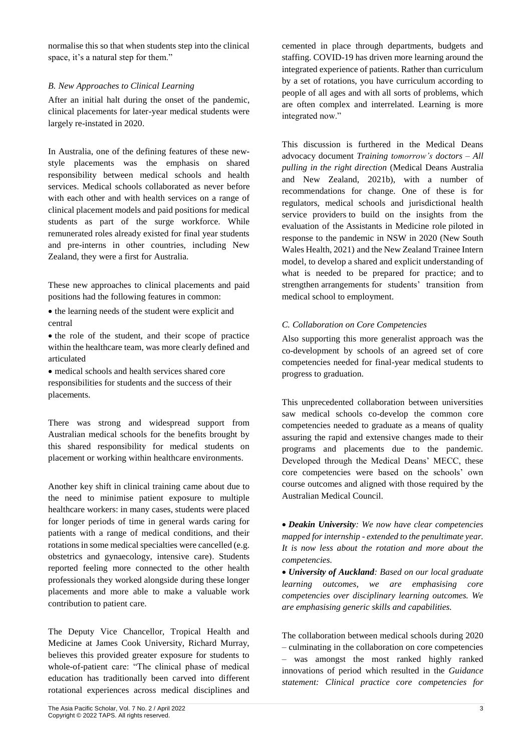normalise this so that when students step into the clinical space, it's a natural step for them."

#### *B. New Approaches to Clinical Learning*

After an initial halt during the onset of the pandemic, clinical placements for later-year medical students were largely re-instated in 2020.

In Australia, one of the defining features of these newstyle placements was the emphasis on shared responsibility between medical schools and health services. Medical schools collaborated as never before with each other and with health services on a range of clinical placement models and paid positions for medical students as part of the surge workforce. While remunerated roles already existed for final year students and pre-interns in other countries, including New Zealand, they were a first for Australia.

These new approaches to clinical placements and paid positions had the following features in common:

- the learning needs of the student were explicit and central
- the role of the student, and their scope of practice within the healthcare team, was more clearly defined and articulated
- medical schools and health services shared core responsibilities for students and the success of their placements.

There was strong and widespread support from Australian medical schools for the benefits brought by this shared responsibility for medical students on placement or working within healthcare environments.

Another key shift in clinical training came about due to the need to minimise patient exposure to multiple healthcare workers: in many cases, students were placed for longer periods of time in general wards caring for patients with a range of medical conditions, and their rotations in some medical specialties were cancelled (e.g. obstetrics and gynaecology, intensive care). Students reported feeling more connected to the other health professionals they worked alongside during these longer placements and more able to make a valuable work contribution to patient care.

The Deputy Vice Chancellor, Tropical Health and Medicine at James Cook University, Richard Murray, believes this provided greater exposure for students to whole-of-patient care: "The clinical phase of medical education has traditionally been carved into different rotational experiences across medical disciplines and cemented in place through departments, budgets and staffing. COVID-19 has driven more learning around the integrated experience of patients. Rather than curriculum by a set of rotations, you have curriculum according to people of all ages and with all sorts of problems, which are often complex and interrelated. Learning is more integrated now."

This discussion is furthered in the Medical Deans advocacy document *Training tomorrow's doctors – All pulling in the right direction* (Medical Deans Australia and New Zealand, 2021b), with a number of recommendations for change. One of these is for regulators, medical schools and jurisdictional health service providers to build on the insights from the evaluation of the Assistants in Medicine role piloted in response to the pandemic in NSW in 2020 (New South Wales Health, 2021) and the New Zealand Trainee Intern model, to develop a shared and explicit understanding of what is needed to be prepared for practice; and to strengthen arrangements for students' transition from medical school to employment.

### *C. Collaboration on Core Competencies*

Also supporting this more generalist approach was the co-development by schools of an agreed set of core competencies needed for final-year medical students to progress to graduation.

This unprecedented collaboration between universities saw medical schools co-develop the common core competencies needed to graduate as a means of quality assuring the rapid and extensive changes made to their programs and placements due to the pandemic. Developed through the Medical Deans' MECC, these core competencies were based on the schools' own course outcomes and aligned with those required by the Australian Medical Council.

• *Deakin University: We now have clear competencies mapped for internship - extended to the penultimate year. It is now less about the rotation and more about the competencies.*

• *University of Auckland: Based on our local graduate learning outcomes, we are emphasising core competencies over disciplinary learning outcomes. We are emphasising generic skills and capabilities.*

The collaboration between medical schools during 2020 – culminating in the collaboration on core competencies – was amongst the most ranked highly ranked innovations of period which resulted in the *Guidance statement: Clinical practice core competencies for*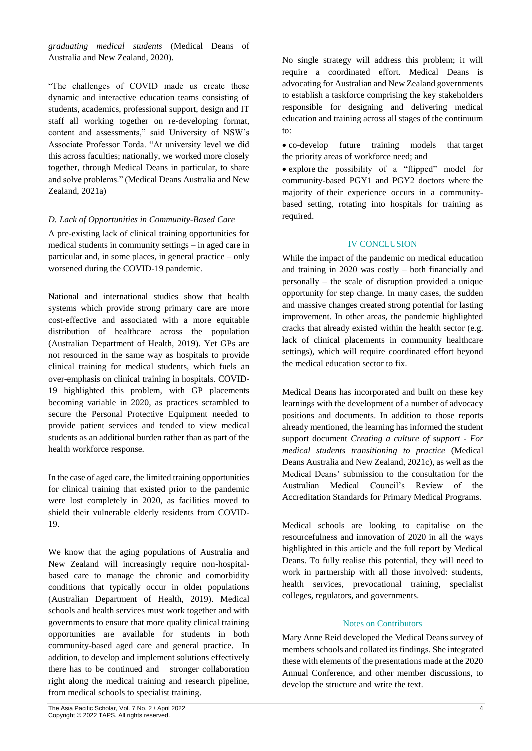*graduating medical students* (Medical Deans of Australia and New Zealand, 2020).

"The challenges of COVID made us create these dynamic and interactive education teams consisting of students, academics, professional support, design and IT staff all working together on re-developing format, content and assessments," said University of NSW's Associate Professor Torda. "At university level we did this across faculties; nationally, we worked more closely together, through Medical Deans in particular, to share and solve problems." (Medical Deans Australia and New Zealand, 2021a)

### *D. Lack of Opportunities in Community-Based Care*

A pre-existing lack of clinical training opportunities for medical students in community settings – in aged care in particular and, in some places, in general practice – only worsened during the COVID-19 pandemic.

National and international studies show that health systems which provide strong primary care are more cost-effective and associated with a more equitable distribution of healthcare across the population (Australian Department of Health, 2019). Yet GPs are not resourced in the same way as hospitals to provide clinical training for medical students, which fuels an over-emphasis on clinical training in hospitals. COVID-19 highlighted this problem, with GP placements becoming variable in 2020, as practices scrambled to secure the Personal Protective Equipment needed to provide patient services and tended to view medical students as an additional burden rather than as part of the health workforce response.

In the case of aged care, the limited training opportunities for clinical training that existed prior to the pandemic were lost completely in 2020, as facilities moved to shield their vulnerable elderly residents from COVID-19.

We know that the aging populations of Australia and New Zealand will increasingly require non-hospitalbased care to manage the chronic and comorbidity conditions that typically occur in older populations (Australian Department of Health, 2019). Medical schools and health services must work together and with governments to ensure that more quality clinical training opportunities are available for students in both community-based aged care and general practice. In addition, to develop and implement solutions effectively there has to be continued and stronger collaboration right along the medical training and research pipeline, from medical schools to specialist training.

• co-develop future training models that target the priority areas of workforce need; and

• explore the possibility of a "flipped" model for community-based PGY1 and PGY2 doctors where the majority of their experience occurs in a communitybased setting, rotating into hospitals for training as required.

## IV CONCLUSION

While the impact of the pandemic on medical education and training in 2020 was costly – both financially and personally – the scale of disruption provided a unique opportunity for step change. In many cases, the sudden and massive changes created strong potential for lasting improvement. In other areas, the pandemic highlighted cracks that already existed within the health sector (e.g. lack of clinical placements in community healthcare settings), which will require coordinated effort beyond the medical education sector to fix.

Medical Deans has incorporated and built on these key learnings with the development of a number of advocacy positions and documents. In addition to those reports already mentioned, the learning has informed the student support document *Creating a culture of support - For medical students transitioning to practice* (Medical Deans Australia and New Zealand, 2021c), as well as the Medical Deans' submission to the consultation for the Australian Medical Council's Review of the Accreditation Standards for Primary Medical Programs.

Medical schools are looking to capitalise on the resourcefulness and innovation of 2020 in all the ways highlighted in this article and the full report by Medical Deans. To fully realise this potential, they will need to work in partnership with all those involved: students, health services, prevocational training, specialist colleges, regulators, and governments.

### Notes on Contributors

Mary Anne Reid developed the Medical Deans survey of members schools and collated its findings. She integrated these with elements of the presentations made at the 2020 Annual Conference, and other member discussions, to develop the structure and write the text.